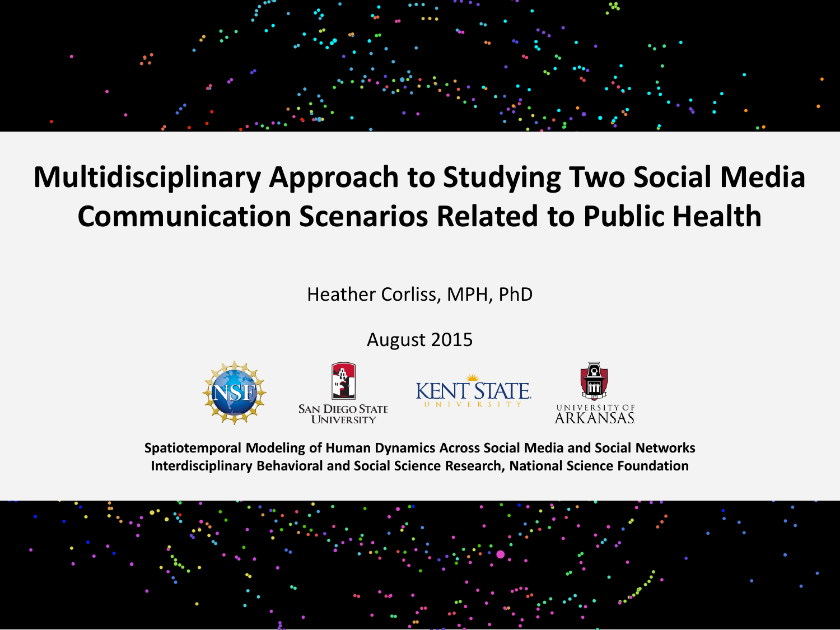

#### **Multidisciplinary Approach to Studying Two Social Media Communication Scenarios Related to Public Health**

Heather Corliss, MPH, PhD

August 2015



**Spatiotemporal Modeling of Human Dynamics Across Social Media and Social Networks Interdisciplinary Behavioral and Social Science Research, National Science Foundation**

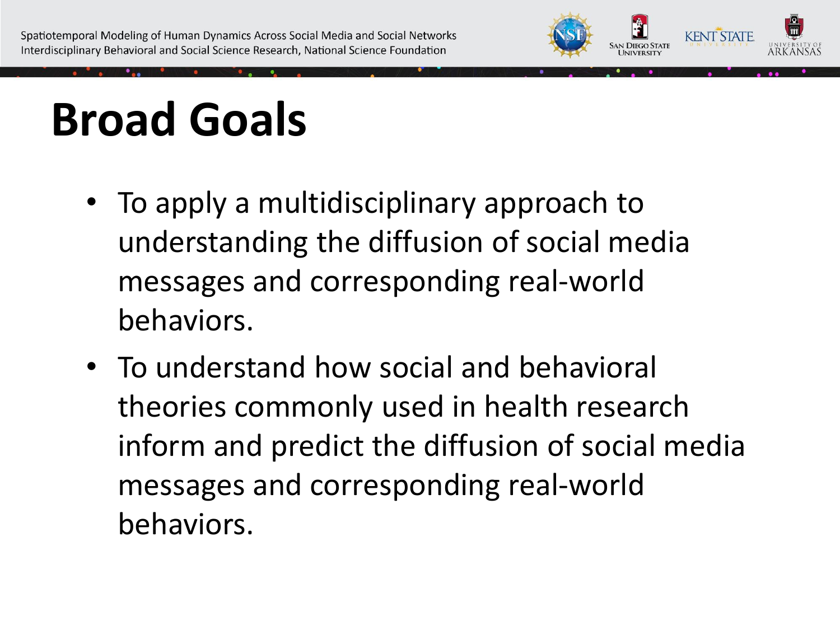

# **Broad Goals**

- To apply a multidisciplinary approach to understanding the diffusion of social media messages and corresponding real-world behaviors.
- To understand how social and behavioral theories commonly used in health research inform and predict the diffusion of social media messages and corresponding real-world behaviors.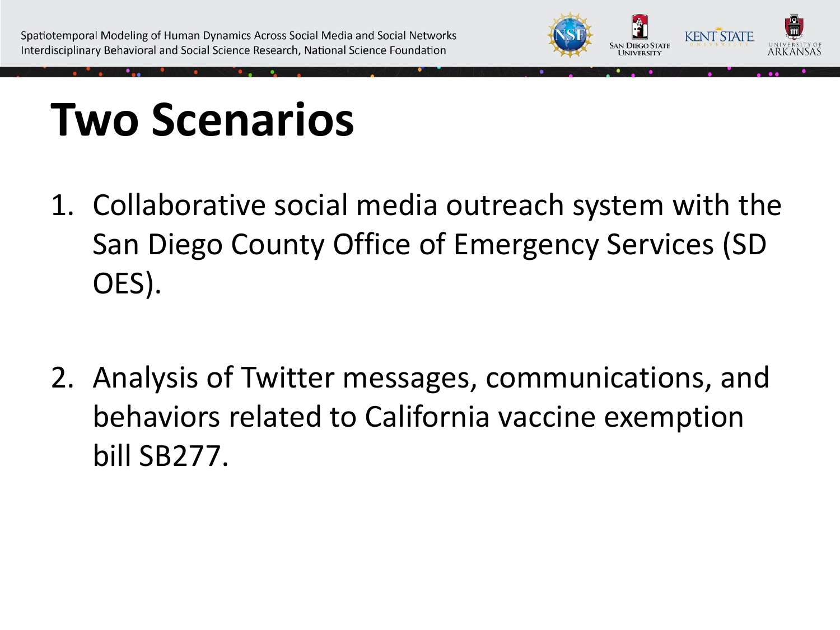

## **Two Scenarios**

- 1. Collaborative social media outreach system with the San Diego County Office of Emergency Services (SD OES).
- 2. Analysis of Twitter messages, communications, and behaviors related to California vaccine exemption bill SB277.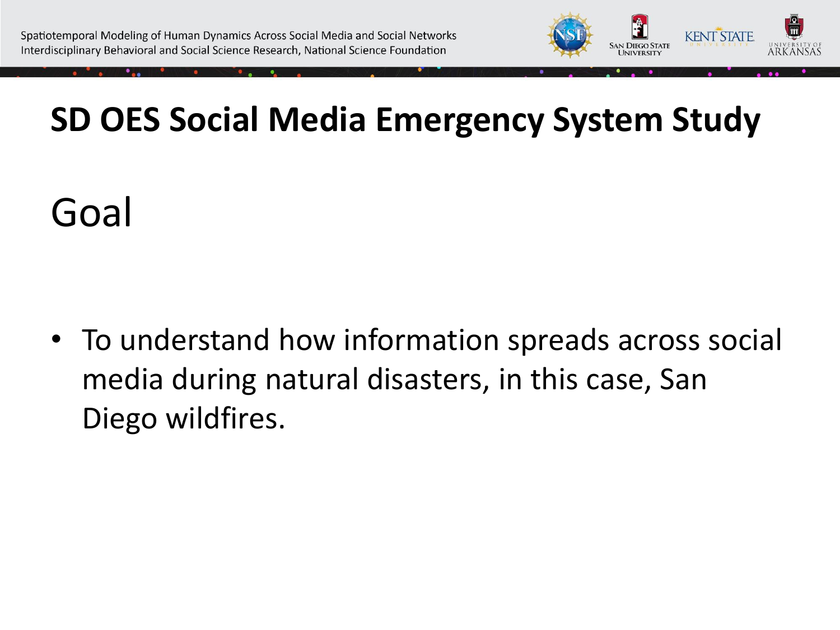

## Goal

• To understand how information spreads across social media during natural disasters, in this case, San Diego wildfires.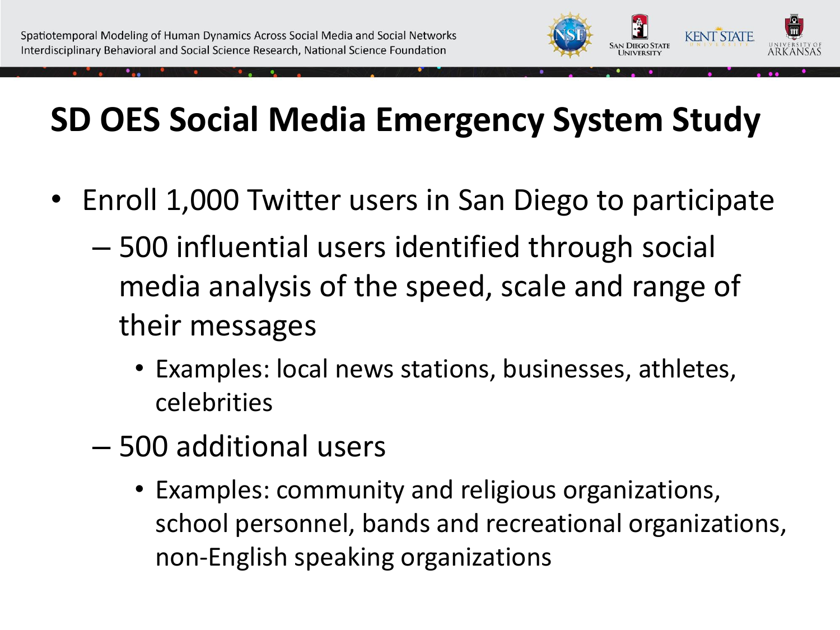

- Enroll 1,000 Twitter users in San Diego to participate
	- 500 influential users identified through social media analysis of the speed, scale and range of their messages
		- Examples: local news stations, businesses, athletes, celebrities
	- 500 additional users
		- Examples: community and religious organizations, school personnel, bands and recreational organizations, non-English speaking organizations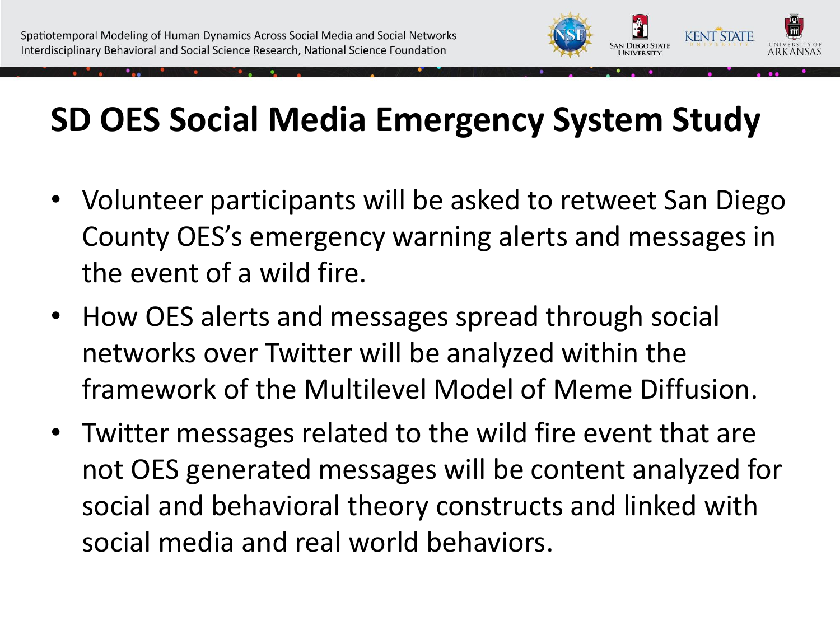

- Volunteer participants will be asked to retweet San Diego County OES's emergency warning alerts and messages in the event of a wild fire.
- How OES alerts and messages spread through social networks over Twitter will be analyzed within the framework of the Multilevel Model of Meme Diffusion.
- Twitter messages related to the wild fire event that are not OES generated messages will be content analyzed for social and behavioral theory constructs and linked with social media and real world behaviors.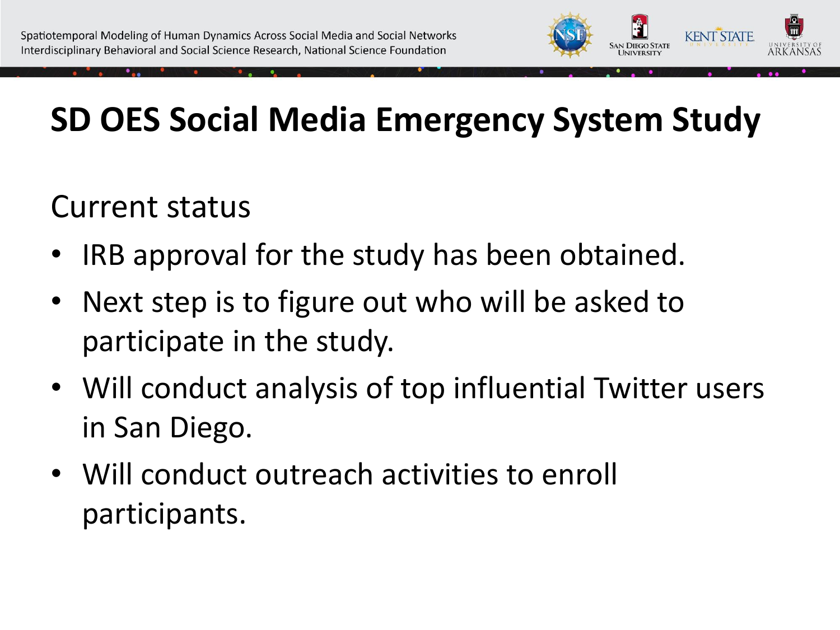

#### Current status

- IRB approval for the study has been obtained.
- Next step is to figure out who will be asked to participate in the study.
- Will conduct analysis of top influential Twitter users in San Diego.
- Will conduct outreach activities to enroll participants.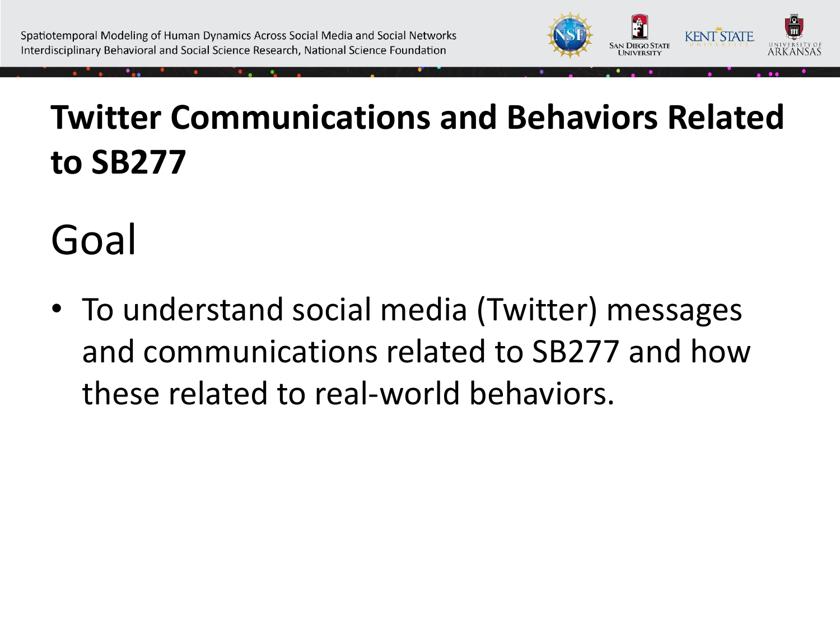

### **Twitter Communications and Behaviors Related to SB277**

Goal

• To understand social media (Twitter) messages and communications related to SB277 and how these related to real-world behaviors.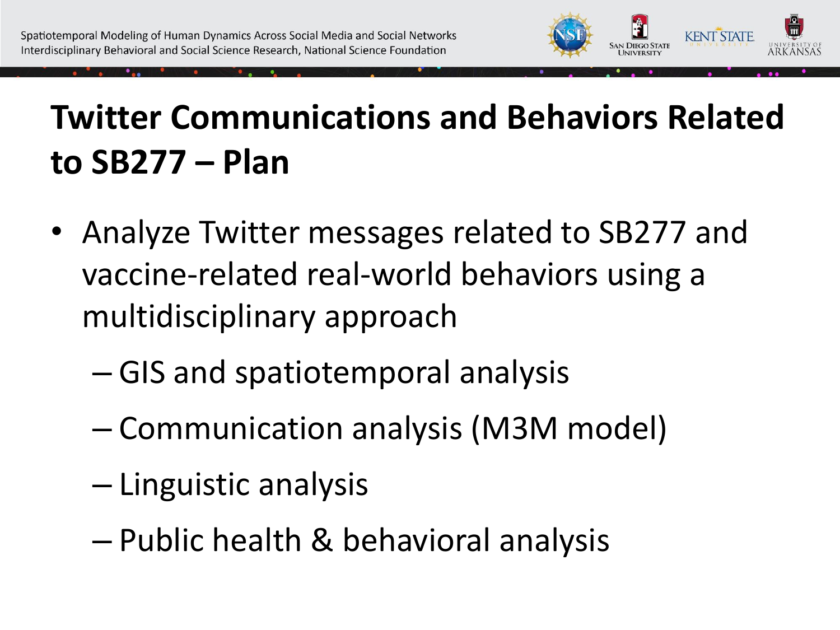

#### **Twitter Communications and Behaviors Related to SB277 – Plan**

- Analyze Twitter messages related to SB277 and vaccine-related real-world behaviors using a multidisciplinary approach
	- GIS and spatiotemporal analysis
	- Communication analysis (M3M model)
	- Linguistic analysis
	- Public health & behavioral analysis